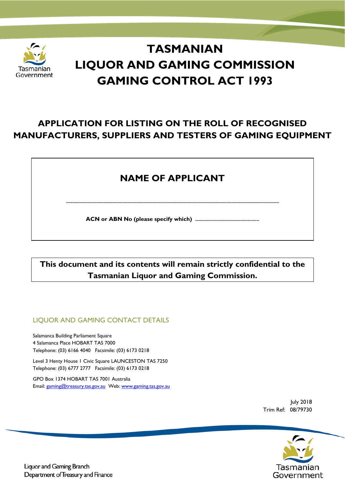

# **TASMANIAN LIQUOR AND GAMING COMMISSION GAMING CONTROL ACT 1993**

# **APPLICATION FOR LISTING ON THE ROLL OF RECOGNISED MANUFACTURERS, SUPPLIERS AND TESTERS OF GAMING EQUIPMENT**

# **NAME OF APPLICANT**

**..........................................................................................................................................................................**

**ACN or ABN No (please specify which) ...................................................**

**This document and its contents will remain strictly confidential to the Tasmanian Liquor and Gaming Commission.**

# LIQUOR AND GAMING CONTACT DETAILS

Salamanca Building Parliament Square 4 Salamanca Place HOBART TAS 7000 Telephone: (03) 6166 4040 Facsimile: (03) 6173 0218

Level 3 Henty House 1 Civic Square LAUNCESTON TAS 7250 Telephone: (03) 6777 2777 Facsimile: (03) 6173 0218

GPO Box 1374 HOBART TAS 7001 Australia Email: [gaming@treasury.tas.gov.au](mailto:gaming@treasury.tas.gov.au) Web[: www.gaming.tas.gov.au](http://www.gaming.tas.gov.au/)

> July 2018 Trim Ref: 08/79730



**Liquor and Gaming Branch** Department of Treasury and Finance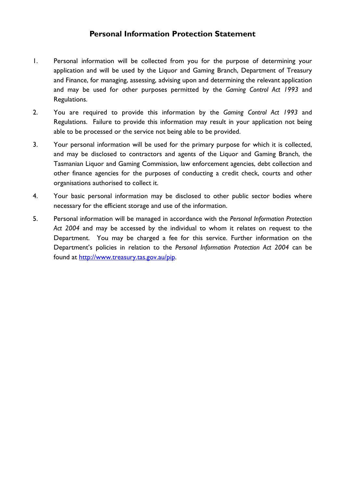# **Personal Information Protection Statement**

- 1. Personal information will be collected from you for the purpose of determining your application and will be used by the Liquor and Gaming Branch, Department of Treasury and Finance, for managing, assessing, advising upon and determining the relevant application and may be used for other purposes permitted by the *Gaming Control Act 1993* and Regulations.
- 2. You are required to provide this information by the *Gaming Control Act 1993* and Regulations. Failure to provide this information may result in your application not being able to be processed or the service not being able to be provided.
- 3. Your personal information will be used for the primary purpose for which it is collected, and may be disclosed to contractors and agents of the Liquor and Gaming Branch, the Tasmanian Liquor and Gaming Commission, law enforcement agencies, debt collection and other finance agencies for the purposes of conducting a credit check, courts and other organisations authorised to collect it.
- 4. Your basic personal information may be disclosed to other public sector bodies where necessary for the efficient storage and use of the information.
- 5. Personal information will be managed in accordance with the *Personal Information Protection Act 2004* and may be accessed by the individual to whom it relates on request to the Department. You may be charged a fee for this service. Further information on the Department's policies in relation to the *Personal Information Protection Act 2004* can be found at [http://www.treasury.tas.gov.au/pip.](http://www.treasury.tas.gov.au/pip)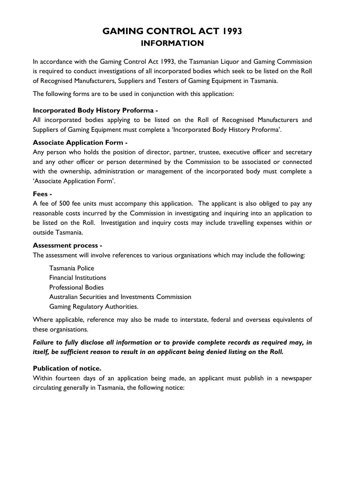# **GAMING CONTROL ACT 1993 INFORMATION**

In accordance with the Gaming Control Act 1993, the Tasmanian Liquor and Gaming Commission is required to conduct investigations of all incorporated bodies which seek to be listed on the Roll of Recognised Manufacturers, Suppliers and Testers of Gaming Equipment in Tasmania.

The following forms are to be used in conjunction with this application:

### **Incorporated Body History Proforma -**

All incorporated bodies applying to be listed on the Roll of Recognised Manufacturers and Suppliers of Gaming Equipment must complete a 'Incorporated Body History Proforma'.

### **Associate Application Form -**

Any person who holds the position of director, partner, trustee, executive officer and secretary and any other officer or person determined by the Commission to be associated or connected with the ownership, administration or management of the incorporated body must complete a 'Associate Application Form'.

#### **Fees -**

A fee of 500 fee units must accompany this application. The applicant is also obliged to pay any reasonable costs incurred by the Commission in investigating and inquiring into an application to be listed on the Roll. Investigation and inquiry costs may include travelling expenses within or outside Tasmania.

#### **Assessment process -**

The assessment will involve references to various organisations which may include the following:

Tasmania Police Financial Institutions Professional Bodies Australian Securities and Investments Commission Gaming Regulatory Authorities.

Where applicable, reference may also be made to interstate, federal and overseas equivalents of these organisations.

## *Failure to fully disclose all information or to provide complete records as required may, in itself, be sufficient reason to result in an applicant being denied listing on the Roll.*

### **Publication of notice.**

Within fourteen days of an application being made, an applicant must publish in a newspaper circulating generally in Tasmania, the following notice: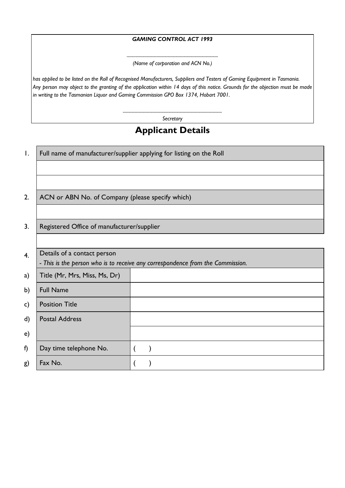#### *GAMING CONTROL ACT 1993*

*.................................................................................. (Name of corporation and ACN No.)*

*has applied to be listed on the Roll of Recognised Manufacturers, Suppliers and Testers of Gaming Equipment in Tasmania. Any person may object to the granting of the application within 14 days of this notice. Grounds for the objection must be made in writing to the Tasmanian Liquor and Gaming Commission GPO Box 1374, Hobart 7001.*

> *......................................................................................... Secretary*

# **Applicant Details**

| $\mathbf{I}$ . | Full name of manufacturer/supplier applying for listing on the Roll            |  |  |  |  |
|----------------|--------------------------------------------------------------------------------|--|--|--|--|
|                |                                                                                |  |  |  |  |
|                |                                                                                |  |  |  |  |
| 2.             | ACN or ABN No. of Company (please specify which)                               |  |  |  |  |
|                |                                                                                |  |  |  |  |
| 3.             | Registered Office of manufacturer/supplier                                     |  |  |  |  |
|                |                                                                                |  |  |  |  |
| 4.             | Details of a contact person                                                    |  |  |  |  |
|                | - This is the person who is to receive any correspondence from the Commission. |  |  |  |  |
| a)             | Title (Mr, Mrs, Miss, Ms, Dr)                                                  |  |  |  |  |
| b)             | <b>Full Name</b>                                                               |  |  |  |  |
| c)             | <b>Position Title</b>                                                          |  |  |  |  |
| d)             | <b>Postal Address</b>                                                          |  |  |  |  |
| e)             |                                                                                |  |  |  |  |
| f)             | Day time telephone No.                                                         |  |  |  |  |
| g)             | Fax No.                                                                        |  |  |  |  |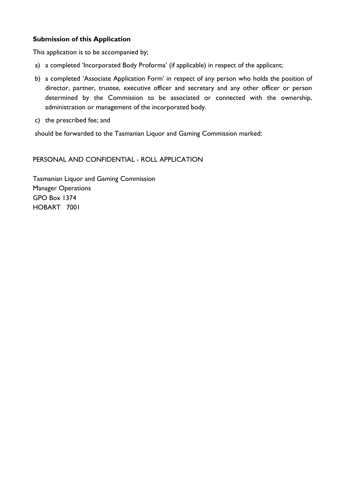### **Submission of this Application**

This application is to be accompanied by;

- a) a completed 'Incorporated Body Proforma' (if applicable) in respect of the applicant;
- b) a completed 'Associate Application Form' in respect of any person who holds the position of director, partner, trustee, executive officer and secretary and any other officer or person determined by the Commission to be associated or connected with the ownership, administration or management of the incorporated body.
- c) the prescribed fee; and

should be forwarded to the Tasmanian Liquor and Gaming Commission marked:

### PERSONAL AND CONFIDENTIAL - ROLL APPLICATION

Tasmanian Liquor and Gaming Commission Manager Operations GPO Box 1374 HOBART 7001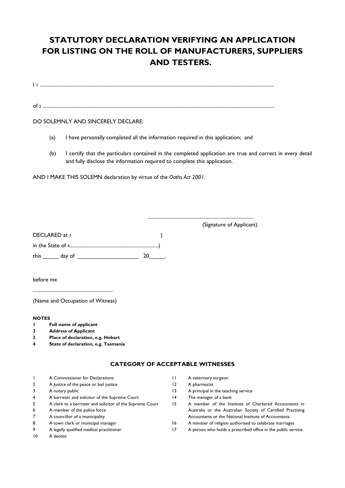# **STATUTORY DECLARATION VERIFYING AN APPLICATION FOR LISTING ON THE ROLL OF MANUFACTURERS, SUPPLIERS AND TESTERS.**

I 1 ...........................................................................................................................................................................................

of <sup>2</sup> .........................................................................................................................................................................................

#### DO SOLEMNLY AND SINCERELY DECLARE:

- (a) I have personally completed all the information required in this application; and
- (b) I certify that the particulars contained in the completed application are true and correct in every detail and fully disclose the information required to complete this application.

AND I MAKE THIS SOLEMN declaration by virtue of the *Oaths Act 2001*.

DECLARED at 3 (1) in the State of 4.......................................................................) this \_\_\_\_\_ day of \_\_\_\_\_\_\_\_\_\_\_\_\_\_\_\_\_\_\_ 20\_\_\_\_\_. (Signature of Applicant)

....................................................................................

before me

................................................................

(Name and Occupation of Witness)

#### **NOTES**

- **1 Full name of applicant**
- **2 Address of Applicant**
- **3 Place of declaration, e.g. Hobart**
- **4 State of declaration, e.g. Tasmania**

#### **CATEGORY OF ACCEPTABLE WITNESSES**

|                | A Commissioner for Declarations                           |    | A veterinary surgeon                                          |
|----------------|-----------------------------------------------------------|----|---------------------------------------------------------------|
| $\overline{2}$ | A Justice of the peace or bail justice                    | 12 | A pharmacist                                                  |
| 3              | A notary public                                           | 13 | A principal in the teaching service                           |
| 4              | A barrister and solicitor of the Supreme Court            | 14 | The manager of a bank                                         |
| 5.             | A clerk to a barrister and solicitor of the Supreme Court | 15 | A member of the Institute of Chartered Accountants in         |
| 6              | A member of the police force                              |    | Australia or the Australian Society of Certified Practising   |
| 7              | A councillor of a municipality                            |    | Accountants or the National Institute of Accountants          |
| 8              | A town clerk or municipal manager                         | 16 | A minister of religion authorised to celebrate marriages      |
| 9              | A legally qualified medical practitioner                  |    | A person who holds a prescribed office in the public service. |
| 10             | A dentist                                                 |    |                                                               |